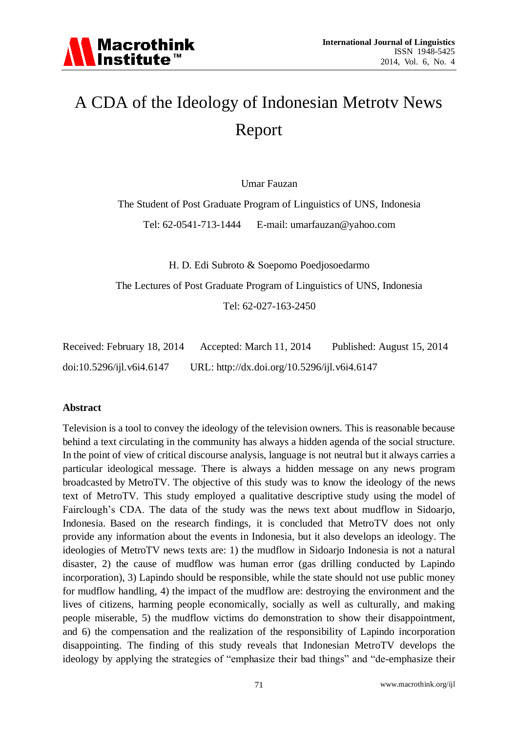# A CDA of the Ideology of Indonesian Metrotv News Report

Umar Fauzan

The Student of Post Graduate Program of Linguistics of UNS, Indonesia Tel: 62-0541-713-1444 E-mail: umarfauzan@yahoo.com

H. D. Edi Subroto & Soepomo Poedjosoedarmo

The Lectures of Post Graduate Program of Linguistics of UNS, Indonesia

Tel: 62-027-163-2450

| Received: February 18, 2014 | Accepted: March 11, 2014                     | Published: August 15, 2014 |
|-----------------------------|----------------------------------------------|----------------------------|
| doi:10.5296/ijl.v6i4.6147   | URL: http://dx.doi.org/10.5296/ijl.v6i4.6147 |                            |

# **Abstract**

Television is a tool to convey the ideology of the television owners. This is reasonable because behind a text circulating in the community has always a hidden agenda of the social structure. In the point of view of critical discourse analysis, language is not neutral but it always carries a particular ideological message. There is always a hidden message on any news program broadcasted by MetroTV. The objective of this study was to know the ideology of the news text of MetroTV. This study employed a qualitative descriptive study using the model of Fairclough's CDA. The data of the study was the news text about mudflow in Sidoarjo, Indonesia. Based on the research findings, it is concluded that MetroTV does not only provide any information about the events in Indonesia, but it also develops an ideology. The ideologies of MetroTV news texts are: 1) the mudflow in Sidoarjo Indonesia is not a natural disaster, 2) the cause of mudflow was human error (gas drilling conducted by Lapindo incorporation), 3) Lapindo should be responsible, while the state should not use public money for mudflow handling, 4) the impact of the mudflow are: destroying the environment and the lives of citizens, harming people economically, socially as well as culturally, and making people miserable, 5) the mudflow victims do demonstration to show their disappointment, and 6) the compensation and the realization of the responsibility of Lapindo incorporation disappointing. The finding of this study reveals that Indonesian MetroTV develops the ideology by applying the strategies of "emphasize their bad things" and "de-emphasize their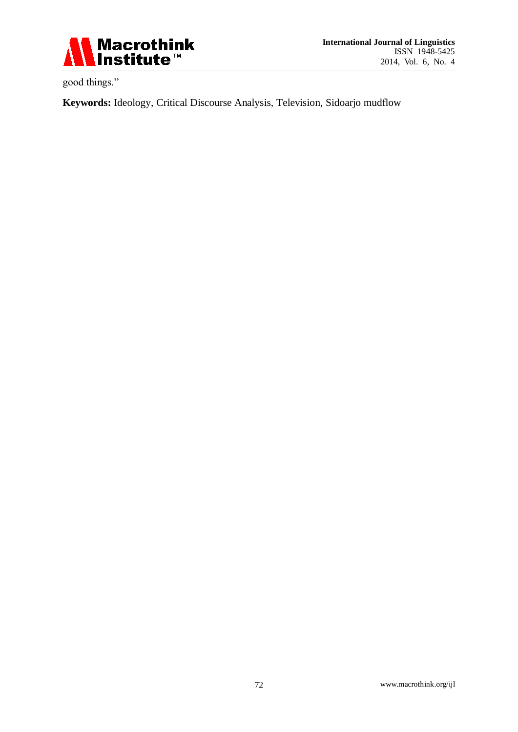

good things."

**Keywords:** Ideology, Critical Discourse Analysis, Television, Sidoarjo mudflow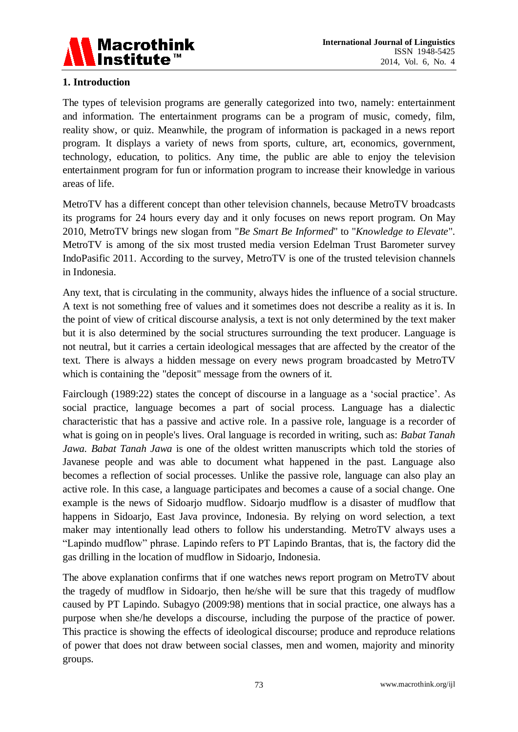

# **1. Introduction**

The types of television programs are generally categorized into two, namely: entertainment and information. The entertainment programs can be a program of music, comedy, film, reality show, or quiz. Meanwhile, the program of information is packaged in a news report program. It displays a variety of news from sports, culture, art, economics, government, technology, education, to politics. Any time, the public are able to enjoy the television entertainment program for fun or information program to increase their knowledge in various areas of life.

MetroTV has a different concept than other television channels, because MetroTV broadcasts its programs for 24 hours every day and it only focuses on news report program. On May 2010, MetroTV brings new slogan from "*Be Smart Be Informed*" to "*Knowledge to Elevate*". MetroTV is among of the six most trusted media version Edelman Trust Barometer survey IndoPasific 2011. According to the survey, MetroTV is one of the trusted television channels in Indonesia.

Any text, that is circulating in the community, always hides the influence of a social structure. A text is not something free of values and it sometimes does not describe a reality as it is. In the point of view of critical discourse analysis, a text is not only determined by the text maker but it is also determined by the social structures surrounding the text producer. Language is not neutral, but it carries a certain ideological messages that are affected by the creator of the text. There is always a hidden message on every news program broadcasted by MetroTV which is containing the "deposit" message from the owners of it.

Fairclough (1989:22) states the concept of discourse in a language as a 'social practice'. As social practice, language becomes a part of social process. Language has a dialectic characteristic that has a passive and active role. In a passive role, language is a recorder of what is going on in people's lives. Oral language is recorded in writing, such as: *Babat Tanah Jawa. Babat Tanah Jawa* is one of the oldest written manuscripts which told the stories of Javanese people and was able to document what happened in the past. Language also becomes a reflection of social processes. Unlike the passive role, language can also play an active role. In this case, a language participates and becomes a cause of a social change. One example is the news of Sidoarjo mudflow. Sidoarjo mudflow is a disaster of mudflow that happens in Sidoarjo, East Java province, Indonesia. By relying on word selection, a text maker may intentionally lead others to follow his understanding. MetroTV always uses a "Lapindo mudflow" phrase. Lapindo refers to PT Lapindo Brantas, that is, the factory did the gas drilling in the location of mudflow in Sidoarjo, Indonesia.

The above explanation confirms that if one watches news report program on MetroTV about the tragedy of mudflow in Sidoarjo, then he/she will be sure that this tragedy of mudflow caused by PT Lapindo. Subagyo (2009:98) mentions that in social practice, one always has a purpose when she/he develops a discourse, including the purpose of the practice of power. This practice is showing the effects of ideological discourse; produce and reproduce relations of power that does not draw between social classes, men and women, majority and minority groups.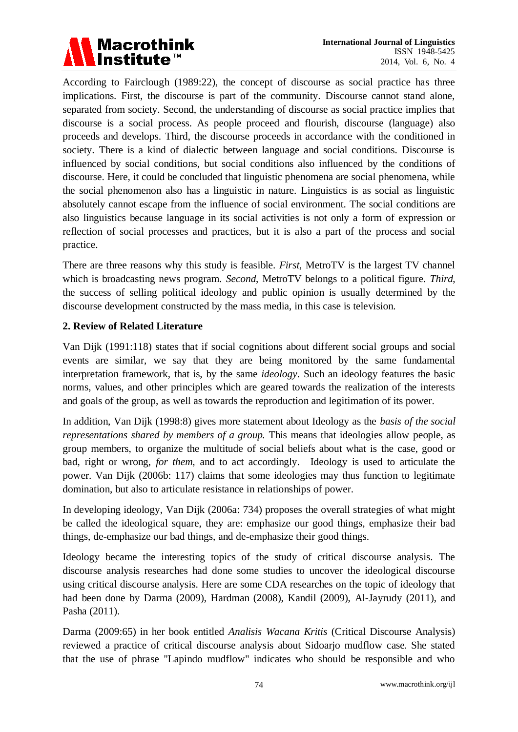

According to Fairclough (1989:22), the concept of discourse as social practice has three implications. First, the discourse is part of the community. Discourse cannot stand alone, separated from society. Second, the understanding of discourse as social practice implies that discourse is a social process. As people proceed and flourish, discourse (language) also proceeds and develops. Third, the discourse proceeds in accordance with the conditioned in society. There is a kind of dialectic between language and social conditions. Discourse is influenced by social conditions, but social conditions also influenced by the conditions of discourse. Here, it could be concluded that linguistic phenomena are social phenomena, while the social phenomenon also has a linguistic in nature. Linguistics is as social as linguistic absolutely cannot escape from the influence of social environment. The social conditions are also linguistics because language in its social activities is not only a form of expression or reflection of social processes and practices, but it is also a part of the process and social practice.

There are three reasons why this study is feasible. *First*, MetroTV is the largest TV channel which is broadcasting news program. *Second*, MetroTV belongs to a political figure. *Third*, the success of selling political ideology and public opinion is usually determined by the discourse development constructed by the mass media, in this case is television.

# **2. Review of Related Literature**

Van Dijk (1991:118) states that if social cognitions about different social groups and social events are similar, we say that they are being monitored by the same fundamental interpretation framework, that is, by the same *ideology*. Such an ideology features the basic norms, values, and other principles which are geared towards the realization of the interests and goals of the group, as well as towards the reproduction and legitimation of its power.

In addition, Van Dijk (1998:8) gives more statement about Ideology as the *basis of the social representations shared by members of a group.* This means that ideologies allow people, as group members, to organize the multitude of social beliefs about what is the case, good or bad, right or wrong, *for them,* and to act accordingly. Ideology is used to articulate the power. Van Dijk (2006b: 117) claims that some ideologies may thus function to legitimate domination, but also to articulate resistance in relationships of power.

In developing ideology, Van Dijk (2006a: 734) proposes the overall strategies of what might be called the ideological square, they are: emphasize our good things, emphasize their bad things, de-emphasize our bad things, and de-emphasize their good things.

Ideology became the interesting topics of the study of critical discourse analysis. The discourse analysis researches had done some studies to uncover the ideological discourse using critical discourse analysis. Here are some CDA researches on the topic of ideology that had been done by Darma (2009), Hardman (2008), Kandil (2009), Al-Jayrudy (2011), and Pasha (2011).

Darma (2009:65) in her book entitled *Analisis Wacana Kritis* (Critical Discourse Analysis) reviewed a practice of critical discourse analysis about Sidoarjo mudflow case. She stated that the use of phrase "Lapindo mudflow" indicates who should be responsible and who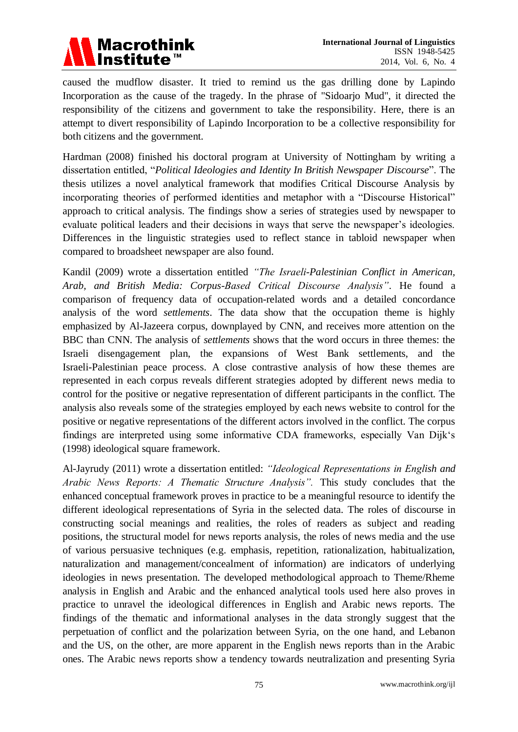

caused the mudflow disaster. It tried to remind us the gas drilling done by Lapindo Incorporation as the cause of the tragedy. In the phrase of "Sidoarjo Mud", it directed the responsibility of the citizens and government to take the responsibility. Here, there is an attempt to divert responsibility of Lapindo Incorporation to be a collective responsibility for both citizens and the government.

Hardman (2008) finished his doctoral program at University of Nottingham by writing a dissertation entitled, "*Political Ideologies and Identity In British Newspaper Discourse*". The thesis utilizes a novel analytical framework that modifies Critical Discourse Analysis by incorporating theories of performed identities and metaphor with a "Discourse Historical" approach to critical analysis. The findings show a series of strategies used by newspaper to evaluate political leaders and their decisions in ways that serve the newspaper's ideologies. Differences in the linguistic strategies used to reflect stance in tabloid newspaper when compared to broadsheet newspaper are also found.

Kandil (2009) wrote a dissertation entitled *"The Israeli-Palestinian Conflict in American, Arab, and British Media: Corpus-Based Critical Discourse Analysis"*. He found a comparison of frequency data of occupation-related words and a detailed concordance analysis of the word *settlements*. The data show that the occupation theme is highly emphasized by Al-Jazeera corpus, downplayed by CNN, and receives more attention on the BBC than CNN. The analysis of *settlements* shows that the word occurs in three themes: the Israeli disengagement plan, the expansions of West Bank settlements, and the Israeli-Palestinian peace process. A close contrastive analysis of how these themes are represented in each corpus reveals different strategies adopted by different news media to control for the positive or negative representation of different participants in the conflict. The analysis also reveals some of the strategies employed by each news website to control for the positive or negative representations of the different actors involved in the conflict. The corpus findings are interpreted using some informative CDA frameworks, especially Van Dijk's (1998) ideological square framework.

Al-Jayrudy (2011) wrote a dissertation entitled: *"Ideological Representations in English and Arabic News Reports: A Thematic Structure Analysis".* This study concludes that the enhanced conceptual framework proves in practice to be a meaningful resource to identify the different ideological representations of Syria in the selected data. The roles of discourse in constructing social meanings and realities, the roles of readers as subject and reading positions, the structural model for news reports analysis, the roles of news media and the use of various persuasive techniques (e.g. emphasis, repetition, rationalization, habitualization, naturalization and management/concealment of information) are indicators of underlying ideologies in news presentation. The developed methodological approach to Theme/Rheme analysis in English and Arabic and the enhanced analytical tools used here also proves in practice to unravel the ideological differences in English and Arabic news reports. The findings of the thematic and informational analyses in the data strongly suggest that the perpetuation of conflict and the polarization between Syria, on the one hand, and Lebanon and the US, on the other, are more apparent in the English news reports than in the Arabic ones. The Arabic news reports show a tendency towards neutralization and presenting Syria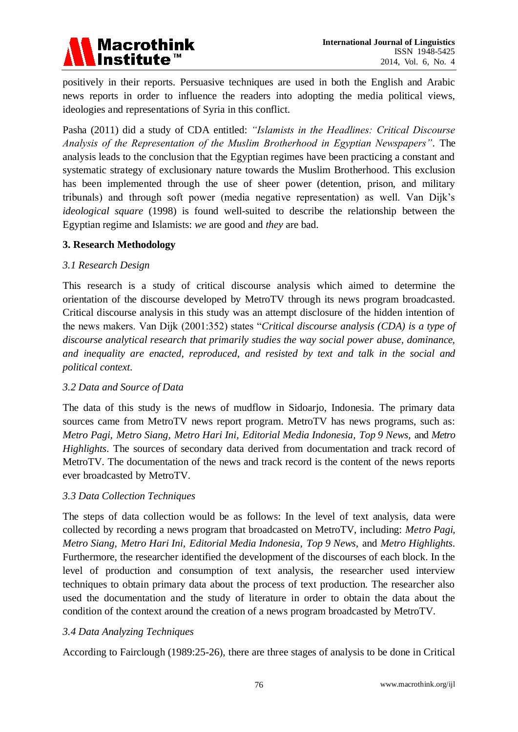

positively in their reports. Persuasive techniques are used in both the English and Arabic news reports in order to influence the readers into adopting the media political views, ideologies and representations of Syria in this conflict.

Pasha (2011) did a study of CDA entitled: *"Islamists in the Headlines: Critical Discourse Analysis of the Representation of the Muslim Brotherhood in Egyptian Newspapers"*. The analysis leads to the conclusion that the Egyptian regimes have been practicing a constant and systematic strategy of exclusionary nature towards the Muslim Brotherhood. This exclusion has been implemented through the use of sheer power (detention, prison, and military tribunals) and through soft power (media negative representation) as well. Van Dijk's *ideological square* (1998) is found well-suited to describe the relationship between the Egyptian regime and Islamists: *we* are good and *they* are bad.

## **3. Research Methodology**

## *3.1 Research Design*

This research is a study of critical discourse analysis which aimed to determine the orientation of the discourse developed by MetroTV through its news program broadcasted. Critical discourse analysis in this study was an attempt disclosure of the hidden intention of the news makers. Van Dijk (2001:352) states "*Critical discourse analysis (CDA) is a type of discourse analytical research that primarily studies the way social power abuse, dominance, and inequality are enacted, reproduced, and resisted by text and talk in the social and political context*.

## *3.2 Data and Source of Data*

The data of this study is the news of mudflow in Sidoarjo, Indonesia. The primary data sources came from MetroTV news report program. MetroTV has news programs, such as: *[Metro](http://www.metrotvnews.com/read/newsprogramindex/347/Metro-Pagi) Pagi, [Metro Siang,](http://www.metrotvnews.com/read/newsprogramindex/252/Metro-Siang) [Metro Hari Ini,](http://www.metrotvnews.com/read/newsprogramindex/210/Metro-Hari-Ini) [Editorial Media Indonesia](http://www.metrotvnews.com/read/newsprogramindex/121/Editorial-Media-Indonesia)[, Top 9 News](http://www.metrotvnews.com/read/newsprogramindex/30/Top-Nine-News),* and *[Metro](http://www.metrotvnews.com/read/newsprogramindex/91/Metro-Highlights)  [Highlights](http://www.metrotvnews.com/read/newsprogramindex/91/Metro-Highlights)*. The sources of secondary data derived from documentation and track record of MetroTV. The documentation of the news and track record is the content of the news reports ever broadcasted by MetroTV.

## *3.3 Data Collection Techniques*

The steps of data collection would be as follows: In the level of text analysis, data were collected by recording a news program that broadcasted on MetroTV, including: *[Metro Pagi,](http://www.metrotvnews.com/read/newsprogramindex/347/Metro-Pagi) [Metro Siang,](http://www.metrotvnews.com/read/newsprogramindex/252/Metro-Siang) [Metro Hari Ini,](http://www.metrotvnews.com/read/newsprogramindex/210/Metro-Hari-Ini) [Editorial Media Indonesia,](http://www.metrotvnews.com/read/newsprogramindex/121/Editorial-Media-Indonesia) [Top 9 News,](http://www.metrotvnews.com/read/newsprogramindex/30/Top-Nine-News)* and *[Metro Highlights](http://www.metrotvnews.com/read/newsprogramindex/91/Metro-Highlights)*. Furthermore, the researcher identified the development of the discourses of each block. In the level of production and consumption of text analysis, the researcher used interview techniques to obtain primary data about the process of text production. The researcher also used the documentation and the study of literature in order to obtain the data about the condition of the context around the creation of a news program broadcasted by MetroTV.

## *3.4 Data Analyzing Techniques*

According to Fairclough (1989:25-26), there are three stages of analysis to be done in Critical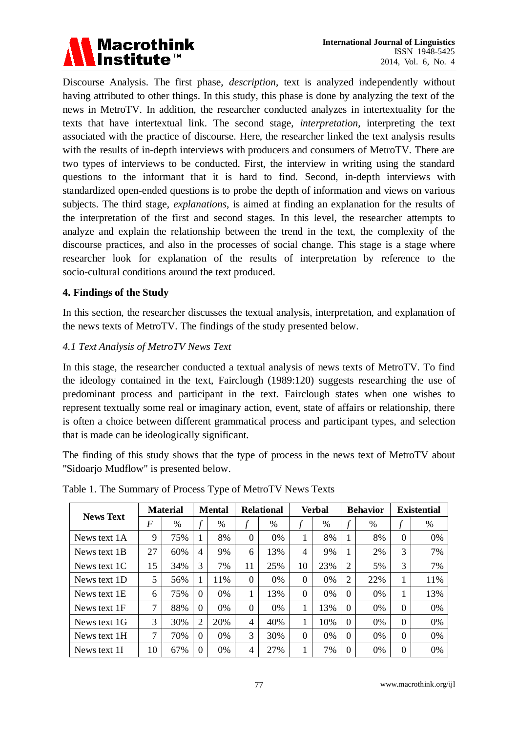

Discourse Analysis. The first phase, *description*, text is analyzed independently without having attributed to other things. In this study, this phase is done by analyzing the text of the news in MetroTV. In addition, the researcher conducted analyzes in intertextuality for the texts that have intertextual link. The second stage, *interpretation*, interpreting the text associated with the practice of discourse. Here, the researcher linked the text analysis results with the results of in-depth interviews with producers and consumers of MetroTV. There are two types of interviews to be conducted. First, the interview in writing using the standard questions to the informant that it is hard to find. Second, in-depth interviews with standardized open-ended questions is to probe the depth of information and views on various subjects. The third stage, *explanations*, is aimed at finding an explanation for the results of the interpretation of the first and second stages. In this level, the researcher attempts to analyze and explain the relationship between the trend in the text, the complexity of the discourse practices, and also in the processes of social change. This stage is a stage where researcher look for explanation of the results of interpretation by reference to the socio-cultural conditions around the text produced.

## **4. Findings of the Study**

In this section, the researcher discusses the textual analysis, interpretation, and explanation of the news texts of MetroTV. The findings of the study presented below.

## *4.1 Text Analysis of MetroTV News Text*

In this stage, the researcher conducted a textual analysis of news texts of MetroTV. To find the ideology contained in the text, Fairclough (1989:120) suggests researching the use of predominant process and participant in the text. Fairclough states when one wishes to represent textually some real or imaginary action, event, state of affairs or relationship, there is often a choice between different grammatical process and participant types, and selection that is made can be ideologically significant.

The finding of this study shows that the type of process in the news text of MetroTV about "Sidoarjo Mudflow" is presented below.

| <b>News Text</b> | <b>Material</b>  |      | <b>Mental</b>    |       | <b>Relational</b> |               | Verbal   |       | <b>Behavior</b> |               | <b>Existential</b> |       |
|------------------|------------------|------|------------------|-------|-------------------|---------------|----------|-------|-----------------|---------------|--------------------|-------|
|                  | $\boldsymbol{F}$ | $\%$ | $\boldsymbol{f}$ | $\%$  |                   | $\frac{0}{0}$ |          | $\%$  |                 | $\frac{0}{0}$ |                    | $\%$  |
| News text 1A     | 9                | 75%  | 1                | 8%    | 0                 | $0\%$         | 1        | 8%    | л.              | 8%            | $\Omega$           | 0%    |
| News text 1B     | 27               | 60%  | 4                | 9%    | 6                 | 13%           | 4        | 9%    | -1              | 2%            | 3                  | 7%    |
| News text 1C     | 15               | 34%  | 3                | 7%    | 11                | 25%           | 10       | 23%   | 2               | 5%            | 3                  | 7%    |
| News text 1D     | 5                | 56%  | 1                | 11%   | $\theta$          | $0\%$         | $\theta$ | $0\%$ | 2               | 22%           | 1                  | 11%   |
| News text 1E     | 6                | 75%  | $\Omega$         | 0%    | 1                 | 13%           | $\Omega$ | $0\%$ | $\Omega$        | $0\%$         | 1                  | 13%   |
| News text 1F     | 7                | 88%  | $\Omega$         | $0\%$ | $\theta$          | $0\%$         | 1        | 13%   | $\Omega$        | $0\%$         | $\theta$           | 0%    |
| News text 1G     | 3                | 30%  | 2                | 20%   | 4                 | 40%           | 1        | 10%   | $\Omega$        | $0\%$         | $\Omega$           | $0\%$ |
| News text 1H     | 7                | 70%  | $\Omega$         | $0\%$ | 3                 | 30%           | $\theta$ | $0\%$ | $\Omega$        | $0\%$         | $\Omega$           | 0%    |
| News text 11     | 10               | 67%  | $\Omega$         | 0%    | 4                 | 27%           | 1        | 7%    | $\Omega$        | $0\%$         | $\Omega$           | 0%    |

Table 1. The Summary of Process Type of MetroTV News Texts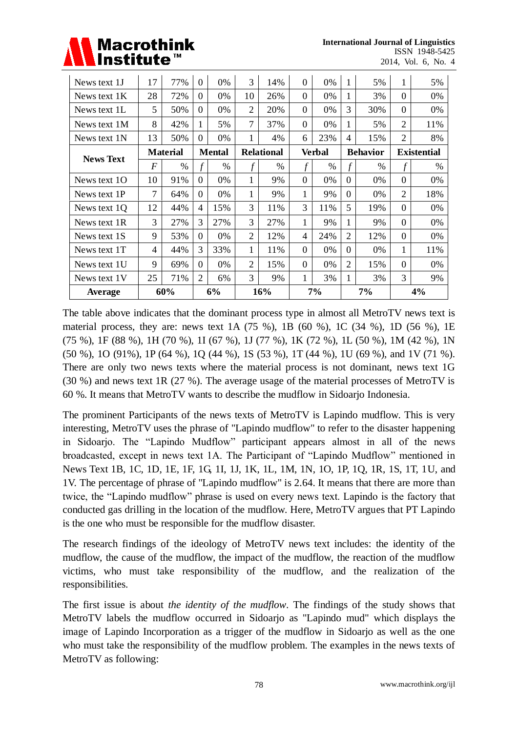

| News text 1J          | 17               | 77%  | $\Omega$       | 0%   | 3                 | 14%           | $\Omega$ | 0%    | 1               | 5%            | 1                  | 5%   |
|-----------------------|------------------|------|----------------|------|-------------------|---------------|----------|-------|-----------------|---------------|--------------------|------|
| News text 1K          | 28               | 72%  | $\Omega$       | 0%   | 10                | 26%           | $\Omega$ | 0%    | T               | 3%            | $\Omega$           | 0%   |
| News text 1L          | 5                | 50%  | $\theta$       | 0%   | 2                 | 20%           | $\Omega$ | 0%    | 3               | 30%           | $\Omega$           | 0%   |
| News text 1M          | 8                | 42%  | 1              | 5%   | $\tau$            | 37%           | $\Omega$ | $0\%$ | 1               | 5%            | $\overline{2}$     | 11%  |
| News text 1N          | 13               | 50%  | $\Omega$       | 0%   | 1                 | 4%            | 6        | 23%   | 4               | 15%           | 2                  | 8%   |
|                       | <b>Material</b>  |      | <b>Mental</b>  |      | <b>Relational</b> |               | Verbal   |       | <b>Behavior</b> |               | <b>Existential</b> |      |
| <b>News Text</b>      | $\boldsymbol{F}$ | $\%$ | $\int$         | $\%$ | f                 | $\frac{0}{0}$ | $\int$   | $\%$  | $\mathcal{f}$   | $\frac{0}{0}$ | $\mathcal{f}$      | $\%$ |
| News text 10          | 10               | 91%  | $\Omega$       | 0%   | 1                 | 9%            | $\Omega$ | 0%    | 0               | 0%            | $\Omega$           | 0%   |
| News text 1P          | 7                | 64%  | $\Omega$       | 0%   | 1                 | 9%            | 1        | 9%    | 0               | $0\%$         | $\mathfrak{D}$     | 18%  |
| News text 1Q          | 12               | 44%  | $\overline{4}$ | 15%  | 3                 | 11%           | 3        | 11\%  | 5               | 19%           | $\Omega$           | 0%   |
| News text 1R          | 3                | 27%  | 3              | 27%  | 3                 | 27%           | 1        | 9%    |                 | 9%            | $\Omega$           | 0%   |
| News text 1S          | 9                | 53%  | $\Omega$       | 0%   | 2                 | 12%           | 4        | 24%   | $\overline{2}$  | 12%           | $\Omega$           | 0%   |
| News text 1T          | 4                | 44%  | 3              | 33%  | 1                 | 11%           | $\Omega$ | $0\%$ | $\Omega$        | $0\%$         | 1                  | 11%  |
| News text 1U          | 9                | 69%  | $\Omega$       | 0%   | 2                 | 15%           | $\Omega$ | 0%    | 2               | 15%           | $\Omega$           | 0%   |
| News text 1V          | 25               | 71%  | 2              | 6%   | 3                 | 9%            | 1        | 3%    | 1               | 3%            | 3                  | 9%   |
| 60%<br><b>Average</b> |                  | 6%   |                | 16%  |                   | 7%            |          | 7%    |                 | 4%            |                    |      |

The table above indicates that the dominant process type in almost all MetroTV news text is material process, they are: news text 1A (75 %), 1B (60 %), 1C (34 %), 1D (56 %), 1E (75 %), 1F (88 %), 1H (70 %), 1I (67 %), 1J (77 %), 1K (72 %), 1L (50 %), 1M (42 %), 1N (50 %), 1O (91%), 1P (64 %), 1Q (44 %), 1S (53 %), 1T (44 %), 1U (69 %), and 1V (71 %). There are only two news texts where the material process is not dominant, news text 1G (30 %) and news text 1R (27 %). The average usage of the material processes of MetroTV is 60 %. It means that MetroTV wants to describe the mudflow in Sidoarjo Indonesia.

The prominent Participants of the news texts of MetroTV is Lapindo mudflow. This is very interesting, MetroTV uses the phrase of "Lapindo mudflow" to refer to the disaster happening in Sidoarjo. The "Lapindo Mudflow" participant appears almost in all of the news broadcasted, except in news text 1A. The Participant of "Lapindo Mudflow" mentioned in News Text 1B, 1C, 1D, 1E, 1F, 1G, 1I, 1J, 1K, 1L, 1M, 1N, 1O, 1P, 1Q, 1R, 1S, 1T, 1U, and 1V. The percentage of phrase of "Lapindo mudflow" is 2.64. It means that there are more than twice, the "Lapindo mudflow" phrase is used on every news text. Lapindo is the factory that conducted gas drilling in the location of the mudflow. Here, MetroTV argues that PT Lapindo is the one who must be responsible for the mudflow disaster.

The research findings of the ideology of MetroTV news text includes: the identity of the mudflow, the cause of the mudflow, the impact of the mudflow, the reaction of the mudflow victims, who must take responsibility of the mudflow, and the realization of the responsibilities.

The first issue is about *the identity of the mudflow*. The findings of the study shows that MetroTV labels the mudflow occurred in Sidoarjo as "Lapindo mud" which displays the image of Lapindo Incorporation as a trigger of the mudflow in Sidoarjo as well as the one who must take the responsibility of the mudflow problem. The examples in the news texts of MetroTV as following: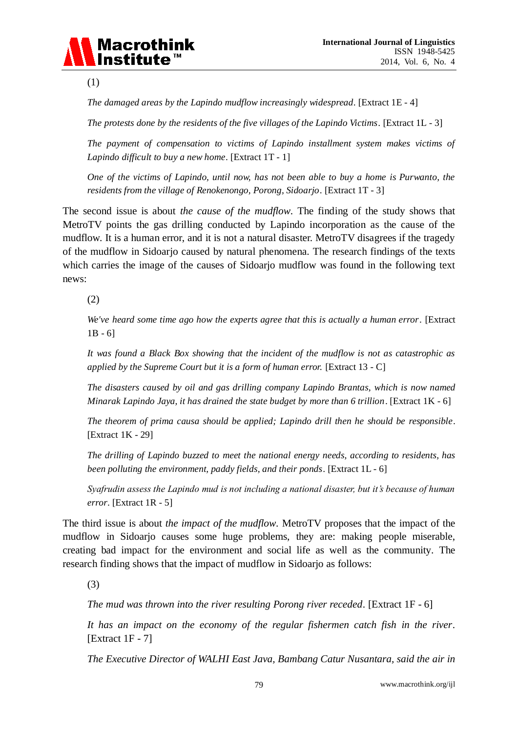

(1)

*The damaged areas by the Lapindo mudflow increasingly widespread*. [Extract 1E - 4]

*The protests done by the residents of the five villages of the Lapindo Victims*. [Extract 1L - 3]

*The payment of compensation to victims of Lapindo installment system makes victims of Lapindo difficult to buy a new home*. [Extract 1T - 1]

*One of the victims of Lapindo, until now, has not been able to buy a home is Purwanto, the residents from the village of Renokenongo, Porong, Sidoarjo*. [Extract 1T - 3]

The second issue is about *the cause of the mudflow*. The finding of the study shows that MetroTV points the gas drilling conducted by Lapindo incorporation as the cause of the mudflow. It is a human error, and it is not a natural disaster. MetroTV disagrees if the tragedy of the mudflow in Sidoarjo caused by natural phenomena. The research findings of the texts which carries the image of the causes of Sidoarjo mudflow was found in the following text news:

(2)

*We've heard some time ago how the experts agree that this is actually a human error*. [Extract  $1B - 6$ ]

*It was found a Black Box showing that the incident of the mudflow is not as catastrophic as applied by the Supreme Court but it is a form of human error.* [Extract 13 - C]

*The disasters caused by oil and gas drilling company Lapindo Brantas, which is now named Minarak Lapindo Jaya, it has drained the state budget by more than 6 trillion*. [Extract 1K - 6]

*The theorem of prima causa should be applied; Lapindo drill then he should be responsible*. [Extract 1K - 29]

*The drilling of Lapindo buzzed to meet the national energy needs, according to residents, has been polluting the environment, paddy fields, and their ponds*. [Extract 1L - 6]

*Syafrudin assess the Lapindo mud is not including a national disaster, but it's because of human error*. [Extract 1R - 5]

The third issue is about *the impact of the mudflow*. MetroTV proposes that the impact of the mudflow in Sidoarjo causes some huge problems, they are: making people miserable, creating bad impact for the environment and social life as well as the community. The research finding shows that the impact of mudflow in Sidoarjo as follows:

(3)

*The mud was thrown into the river resulting Porong river receded*. [Extract 1F - 6]

*It has an impact on the economy of the regular fishermen catch fish in the river*. [Extract 1F - 7]

*The Executive Director of WALHI East Java, Bambang Catur Nusantara, said the air in*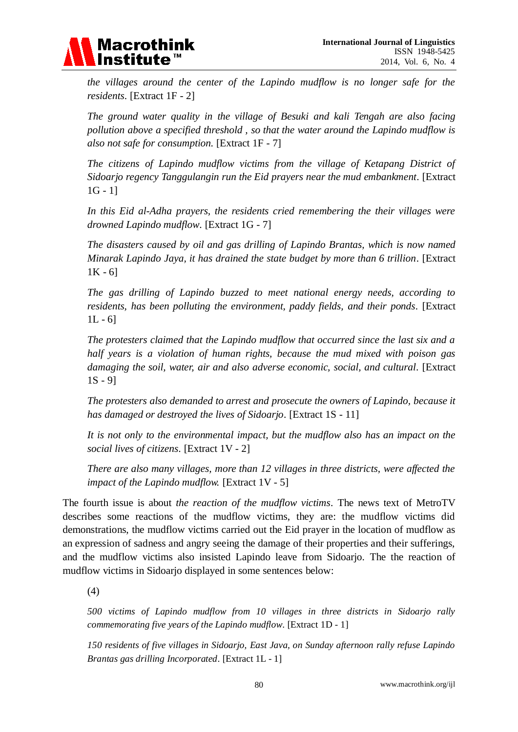

*the villages around the center of the Lapindo mudflow is no longer safe for the residents*. [Extract 1F - 2]

*The ground water quality in the village of Besuki and kali Tengah are also facing pollution above a specified threshold , so that the water around the Lapindo mudflow is also not safe for consumption.* [Extract 1F - 7]

*The citizens of Lapindo mudflow victims from the village of Ketapang District of Sidoarjo regency Tanggulangin run the Eid prayers near the mud embankment*. [Extract 1G - 1]

*In this Eid al-Adha prayers, the residents cried remembering the their villages were drowned Lapindo mudflow*. [Extract 1G - 7]

*The disasters caused by oil and gas drilling of Lapindo Brantas, which is now named Minarak Lapindo Jaya, it has drained the state budget by more than 6 trillion*. [Extract  $1K - 6$ ]

*The gas drilling of Lapindo buzzed to meet national energy needs, according to residents, has been polluting the environment, paddy fields, and their ponds*. [Extract  $1L - 6$ ]

*The protesters claimed that the Lapindo mudflow that occurred since the last six and a half years is a violation of human rights, because the mud mixed with poison gas damaging the soil, water, air and also adverse economic, social, and cultural*. [Extract 1S - 9]

*The protesters also demanded to arrest and prosecute the owners of Lapindo, because it has damaged or destroyed the lives of Sidoarjo*. [Extract 1S - 11]

*It is not only to the environmental impact, but the mudflow also has an impact on the social lives of citizens*. [Extract 1V - 2]

*There are also many villages, more than 12 villages in three districts, were affected the impact of the Lapindo mudflow.* [Extract 1V - 5]

The fourth issue is about *the reaction of the mudflow victims*. The news text of MetroTV describes some reactions of the mudflow victims, they are: the mudflow victims did demonstrations, the mudflow victims carried out the Eid prayer in the location of mudflow as an expression of sadness and angry seeing the damage of their properties and their sufferings, and the mudflow victims also insisted Lapindo leave from Sidoarjo. The the reaction of mudflow victims in Sidoarjo displayed in some sentences below:

(4)

*500 victims of Lapindo mudflow from 10 villages in three districts in Sidoarjo rally commemorating five years of the Lapindo mudflow*. [Extract 1D - 1]

*150 residents of five villages in Sidoarjo, East Java, on Sunday afternoon rally refuse Lapindo Brantas gas drilling Incorporated*. [Extract 1L - 1]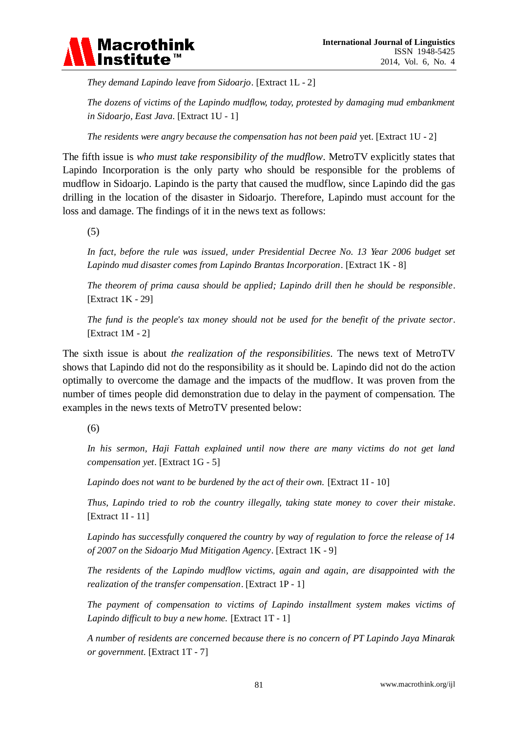

*They demand Lapindo leave from Sidoarjo*. [Extract 1L - 2]

*The dozens of victims of the Lapindo mudflow, today, protested by damaging mud embankment in Sidoarjo, East Java*. [Extract 1U - 1]

*The residents were angry because the compensation has not been paid yet.* [Extract 1U - 2]

The fifth issue is *who must take responsibility of the mudflow*. MetroTV explicitly states that Lapindo Incorporation is the only party who should be responsible for the problems of mudflow in Sidoarjo. Lapindo is the party that caused the mudflow, since Lapindo did the gas drilling in the location of the disaster in Sidoarjo. Therefore, Lapindo must account for the loss and damage. The findings of it in the news text as follows:

(5)

*In fact, before the rule was issued, under Presidential Decree No. 13 Year 2006 budget set Lapindo mud disaster comes from Lapindo Brantas Incorporation*. [Extract 1K - 8]

*The theorem of prima causa should be applied; Lapindo drill then he should be responsible*. [Extract 1K - 29]

*The fund is the people's tax money should not be used for the benefit of the private sector*. [Extract 1M - 2]

The sixth issue is about *the realization of the responsibilities*. The news text of MetroTV shows that Lapindo did not do the responsibility as it should be. Lapindo did not do the action optimally to overcome the damage and the impacts of the mudflow. It was proven from the number of times people did demonstration due to delay in the payment of compensation. The examples in the news texts of MetroTV presented below:

(6)

*In his sermon, Haji Fattah explained until now there are many victims do not get land compensation yet*. [Extract 1G - 5]

*Lapindo does not want to be burdened by the act of their own.* [Extract 1I - 10]

*Thus, Lapindo tried to rob the country illegally, taking state money to cover their mistake*. [Extract 1I - 11]

*Lapindo has successfully conquered the country by way of regulation to force the release of 14 of 2007 on the Sidoarjo Mud Mitigation Agency*. [Extract 1K - 9]

*The residents of the Lapindo mudflow victims, again and again, are disappointed with the realization of the transfer compensation*. [Extract 1P - 1]

*The payment of compensation to victims of Lapindo installment system makes victims of Lapindo difficult to buy a new home.* [Extract 1T - 1]

*A number of residents are concerned because there is no concern of PT Lapindo Jaya Minarak or government.* [Extract 1T - 7]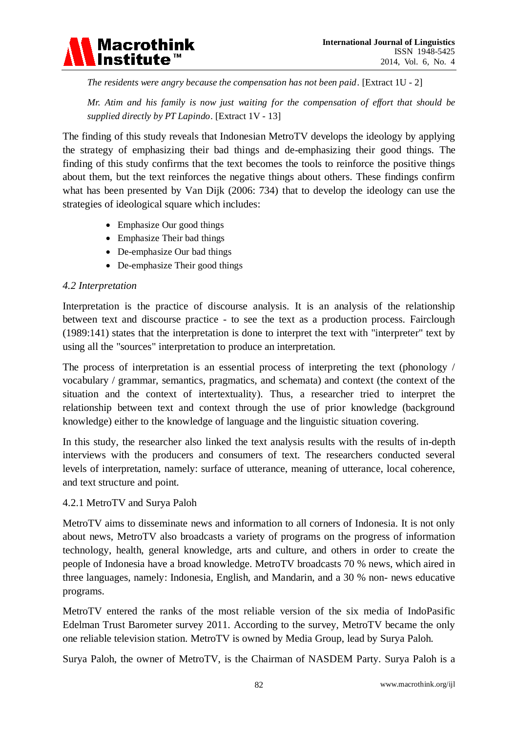

*The residents were angry because the compensation has not been paid*. [Extract 1U - 2]

*Mr. Atim and his family is now just waiting for the compensation of effort that should be supplied directly by PT Lapindo*. [Extract 1V - 13]

The finding of this study reveals that Indonesian MetroTV develops the ideology by applying the strategy of emphasizing their bad things and de-emphasizing their good things. The finding of this study confirms that the text becomes the tools to reinforce the positive things about them, but the text reinforces the negative things about others. These findings confirm what has been presented by Van Dijk (2006: 734) that to develop the ideology can use the strategies of ideological square which includes:

- Emphasize Our good things
- Emphasize Their bad things
- De-emphasize Our bad things
- De-emphasize Their good things

# *4.2 Interpretation*

Interpretation is the practice of discourse analysis. It is an analysis of the relationship between text and discourse practice - to see the text as a production process. Fairclough (1989:141) states that the interpretation is done to interpret the text with "interpreter" text by using all the "sources" interpretation to produce an interpretation.

The process of interpretation is an essential process of interpreting the text (phonology / vocabulary / grammar, semantics, pragmatics, and schemata) and context (the context of the situation and the context of intertextuality). Thus, a researcher tried to interpret the relationship between text and context through the use of prior knowledge (background knowledge) either to the knowledge of language and the linguistic situation covering.

In this study, the researcher also linked the text analysis results with the results of in-depth interviews with the producers and consumers of text. The researchers conducted several levels of interpretation, namely: surface of utterance, meaning of utterance, local coherence, and text structure and point.

## 4.2.1 MetroTV and Surya Paloh

MetroTV aims to disseminate news and information to all corners of Indonesia. It is not only about news, MetroTV also broadcasts a variety of programs on the progress of information technology, health, general knowledge, arts and culture, and others in order to create the people of Indonesia have a broad knowledge. MetroTV broadcasts 70 % news, which aired in three languages, namely: Indonesia, English, and Mandarin, and a 30 % non- news educative programs.

MetroTV entered the ranks of the most reliable version of the six media of IndoPasific Edelman Trust Barometer survey 2011. According to the survey, MetroTV became the only one reliable television station. MetroTV is owned by Media Group, lead by Surya Paloh.

Surya Paloh, the owner of MetroTV, is the Chairman of NASDEM Party. Surya Paloh is a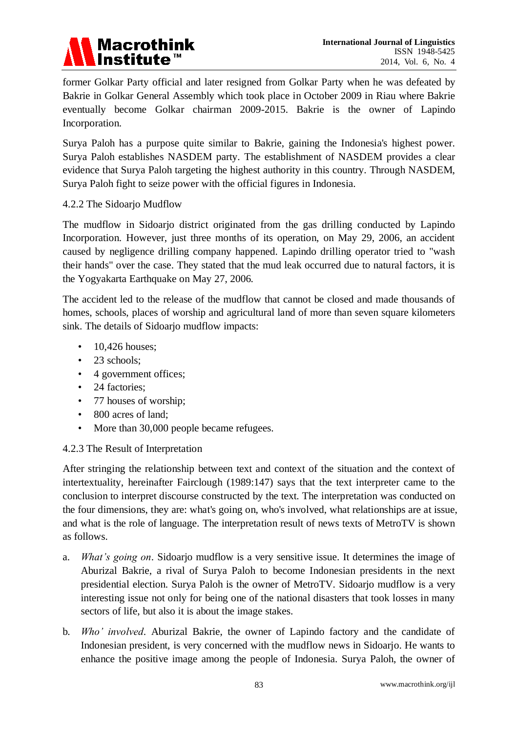

former Golkar Party official and later resigned from Golkar Party when he was defeated by Bakrie in Golkar General Assembly which took place in October 2009 in Riau where Bakrie eventually become Golkar chairman 2009-2015. Bakrie is the owner of Lapindo Incorporation.

Surya Paloh has a purpose quite similar to Bakrie, gaining the Indonesia's highest power. Surya Paloh establishes NASDEM party. The establishment of NASDEM provides a clear evidence that Surya Paloh targeting the highest authority in this country. Through NASDEM, Surya Paloh fight to seize power with the official figures in Indonesia.

4.2.2 The Sidoarjo Mudflow

The mudflow in Sidoarjo district originated from the gas drilling conducted by Lapindo Incorporation. However, just three months of its operation, on May 29, 2006, an accident caused by negligence drilling company happened. Lapindo drilling operator tried to "wash their hands" over the case. They stated that the mud leak occurred due to natural factors, it is the Yogyakarta Earthquake on May 27, 2006.

The accident led to the release of the mudflow that cannot be closed and made thousands of homes, schools, places of worship and agricultural land of more than seven square kilometers sink. The details of Sidoarjo mudflow impacts:

- 10,426 houses;
- 23 schools:
- 4 government offices;
- 24 factories;
- 77 houses of worship;
- 800 acres of land:
- More than 30,000 people became refugees.

# 4.2.3 The Result of Interpretation

After stringing the relationship between text and context of the situation and the context of intertextuality, hereinafter Fairclough (1989:147) says that the text interpreter came to the conclusion to interpret discourse constructed by the text. The interpretation was conducted on the four dimensions, they are: what's going on, who's involved, what relationships are at issue, and what is the role of language. The interpretation result of news texts of MetroTV is shown as follows.

- a. *What's going on*. Sidoarjo mudflow is a very sensitive issue. It determines the image of Aburizal Bakrie, a rival of Surya Paloh to become Indonesian presidents in the next presidential election. Surya Paloh is the owner of MetroTV. Sidoarjo mudflow is a very interesting issue not only for being one of the national disasters that took losses in many sectors of life, but also it is about the image stakes.
- b. *Who' involved*. Aburizal Bakrie, the owner of Lapindo factory and the candidate of Indonesian president, is very concerned with the mudflow news in Sidoarjo. He wants to enhance the positive image among the people of Indonesia. Surya Paloh, the owner of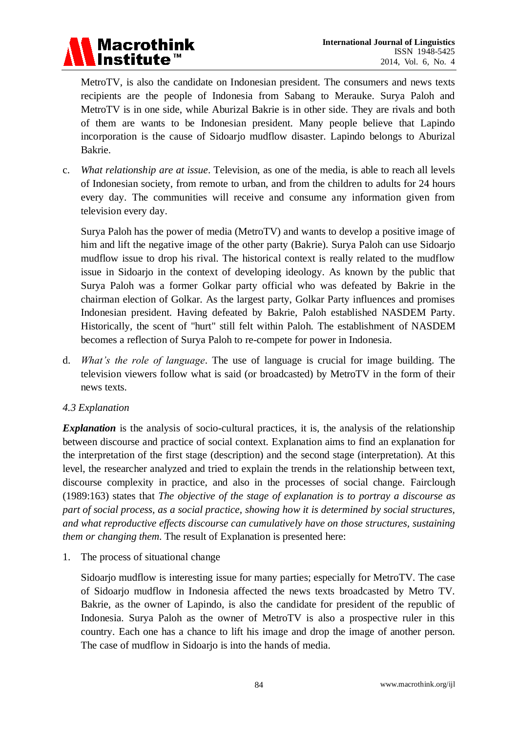

MetroTV, is also the candidate on Indonesian president. The consumers and news texts recipients are the people of Indonesia from Sabang to Merauke. Surya Paloh and MetroTV is in one side, while Aburizal Bakrie is in other side. They are rivals and both of them are wants to be Indonesian president. Many people believe that Lapindo incorporation is the cause of Sidoarjo mudflow disaster. Lapindo belongs to Aburizal Bakrie.

c. *What relationship are at issue*. Television, as one of the media, is able to reach all levels of Indonesian society, from remote to urban, and from the children to adults for 24 hours every day. The communities will receive and consume any information given from television every day.

Surya Paloh has the power of media (MetroTV) and wants to develop a positive image of him and lift the negative image of the other party (Bakrie). Surya Paloh can use Sidoarjo mudflow issue to drop his rival. The historical context is really related to the mudflow issue in Sidoarjo in the context of developing ideology. As known by the public that Surya Paloh was a former Golkar party official who was defeated by Bakrie in the chairman election of Golkar. As the largest party, Golkar Party influences and promises Indonesian president. Having defeated by Bakrie, Paloh established NASDEM Party. Historically, the scent of "hurt" still felt within Paloh. The establishment of NASDEM becomes a reflection of Surya Paloh to re-compete for power in Indonesia.

d. *What's the role of language*. The use of language is crucial for image building. The television viewers follow what is said (or broadcasted) by MetroTV in the form of their news texts.

# *4.3 Explanation*

*Explanation* is the analysis of socio-cultural practices, it is, the analysis of the relationship between discourse and practice of social context. Explanation aims to find an explanation for the interpretation of the first stage (description) and the second stage (interpretation). At this level, the researcher analyzed and tried to explain the trends in the relationship between text, discourse complexity in practice, and also in the processes of social change. Fairclough (1989:163) states that *The objective of the stage of explanation is to portray a discourse as part of social process, as a social practice, showing how it is determined by social structures, and what reproductive effects discourse can cumulatively have on those structures, sustaining them or changing them*. The result of Explanation is presented here:

1. The process of situational change

Sidoarjo mudflow is interesting issue for many parties; especially for MetroTV. The case of Sidoarjo mudflow in Indonesia affected the news texts broadcasted by Metro TV. Bakrie, as the owner of Lapindo, is also the candidate for president of the republic of Indonesia. Surya Paloh as the owner of MetroTV is also a prospective ruler in this country. Each one has a chance to lift his image and drop the image of another person. The case of mudflow in Sidoarjo is into the hands of media.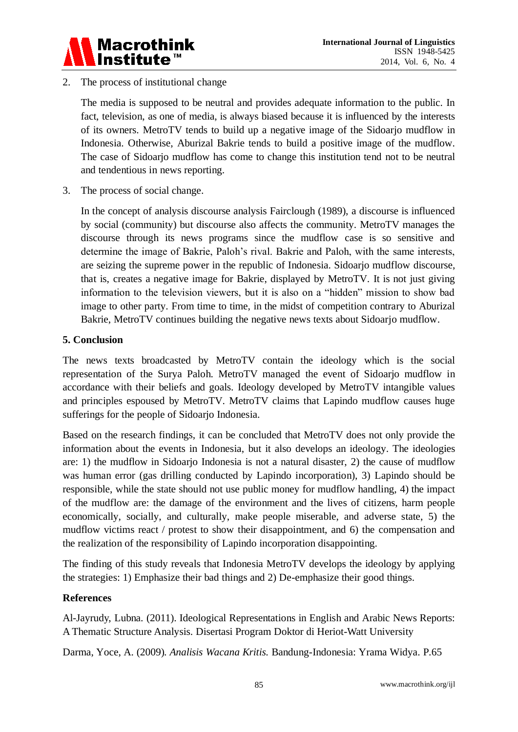

# 2. The process of institutional change

The media is supposed to be neutral and provides adequate information to the public. In fact, television, as one of media, is always biased because it is influenced by the interests of its owners. MetroTV tends to build up a negative image of the Sidoarjo mudflow in Indonesia. Otherwise, Aburizal Bakrie tends to build a positive image of the mudflow. The case of Sidoarjo mudflow has come to change this institution tend not to be neutral and tendentious in news reporting.

3. The process of social change.

In the concept of analysis discourse analysis Fairclough (1989), a discourse is influenced by social (community) but discourse also affects the community. MetroTV manages the discourse through its news programs since the mudflow case is so sensitive and determine the image of Bakrie, Paloh's rival. Bakrie and Paloh, with the same interests, are seizing the supreme power in the republic of Indonesia. Sidoarjo mudflow discourse, that is, creates a negative image for Bakrie, displayed by MetroTV. It is not just giving information to the television viewers, but it is also on a "hidden" mission to show bad image to other party. From time to time, in the midst of competition contrary to Aburizal Bakrie, MetroTV continues building the negative news texts about Sidoarjo mudflow.

# **5. Conclusion**

The news texts broadcasted by MetroTV contain the ideology which is the social representation of the Surya Paloh. MetroTV managed the event of Sidoarjo mudflow in accordance with their beliefs and goals. Ideology developed by MetroTV intangible values and principles espoused by MetroTV. MetroTV claims that Lapindo mudflow causes huge sufferings for the people of Sidoarjo Indonesia.

Based on the research findings, it can be concluded that MetroTV does not only provide the information about the events in Indonesia, but it also develops an ideology. The ideologies are: 1) the mudflow in Sidoarjo Indonesia is not a natural disaster, 2) the cause of mudflow was human error (gas drilling conducted by Lapindo incorporation), 3) Lapindo should be responsible, while the state should not use public money for mudflow handling, 4) the impact of the mudflow are: the damage of the environment and the lives of citizens, harm people economically, socially, and culturally, make people miserable, and adverse state, 5) the mudflow victims react / protest to show their disappointment, and 6) the compensation and the realization of the responsibility of Lapindo incorporation disappointing.

The finding of this study reveals that Indonesia MetroTV develops the ideology by applying the strategies: 1) Emphasize their bad things and 2) De-emphasize their good things.

# **References**

Al-Jayrudy, Lubna. (2011). Ideological Representations in English and Arabic News Reports: A Thematic Structure Analysis. Disertasi Program Doktor di Heriot-Watt University

Darma, Yoce, A. (2009). *Analisis Wacana Kritis.* Bandung-Indonesia: Yrama Widya. P.65